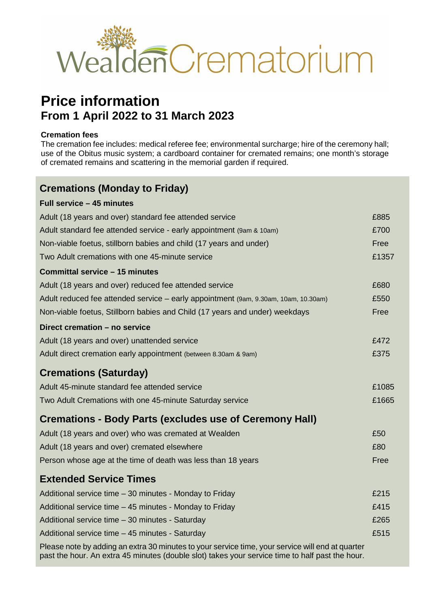

# **Price information From 1 April 2022 to 31 March 2023**

#### **Cremation fees**

**Full service – 45 minutes**

The cremation fee includes: medical referee fee; environmental surcharge; hire of the ceremony hall; use of the Obitus music system; a cardboard container for cremated remains; one month's storage of cremated remains and scattering in the memorial garden if required.

### **Cremations (Monday to Friday)**

| LAII 261 AIRE — 49 IIIIIINIAS                                                                    |       |
|--------------------------------------------------------------------------------------------------|-------|
| Adult (18 years and over) standard fee attended service                                          | £885  |
| Adult standard fee attended service - early appointment (9am & 10am)                             | £700  |
| Non-viable foetus, stillborn babies and child (17 years and under)                               | Free  |
| Two Adult cremations with one 45-minute service                                                  | £1357 |
| Committal service - 15 minutes                                                                   |       |
| Adult (18 years and over) reduced fee attended service                                           | £680  |
| Adult reduced fee attended service - early appointment (9am, 9.30am, 10am, 10.30am)              | £550  |
| Non-viable foetus, Stillborn babies and Child (17 years and under) weekdays                      | Free  |
| Direct cremation - no service                                                                    |       |
| Adult (18 years and over) unattended service                                                     | £472  |
| Adult direct cremation early appointment (between 8.30am & 9am)                                  | £375  |
| <b>Cremations (Saturday)</b>                                                                     |       |
| Adult 45-minute standard fee attended service                                                    | £1085 |
| Two Adult Cremations with one 45-minute Saturday service                                         | £1665 |
| <b>Cremations - Body Parts (excludes use of Ceremony Hall)</b>                                   |       |
| Adult (18 years and over) who was cremated at Wealden                                            | £50   |
| Adult (18 years and over) cremated elsewhere                                                     | £80   |
| Person whose age at the time of death was less than 18 years                                     | Free  |
| <b>Extended Service Times</b>                                                                    |       |
| Additional service time - 30 minutes - Monday to Friday                                          | £215  |
| Additional service time - 45 minutes - Monday to Friday                                          | £415  |
| Additional service time - 30 minutes - Saturday                                                  | £265  |
| Additional service time - 45 minutes - Saturday                                                  | £515  |
| Dlassa nota by adding an aytra 30 minutas to your sarvica tima, your sarvica will and at quartar |       |

ple by adding an extra 30 minutes to your service time, your service will end a past the hour. An extra 45 minutes (double slot) takes your service time to half past the hour.